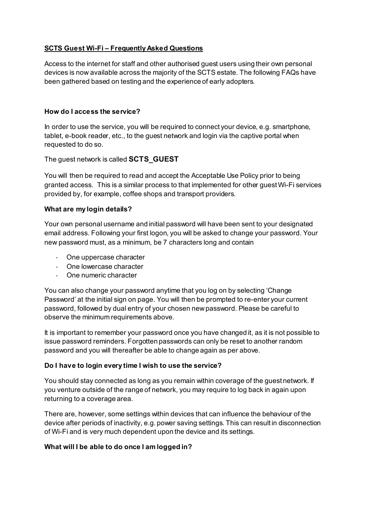## **SCTS Guest Wi-Fi – Frequently Asked Questions**

Access to the internet for staff and other authorised guest users using their own personal devices is now available across the majority of the SCTS estate. The following FAQs have been gathered based on testing and the experience of early adopters.

#### **How do I access the service?**

In order to use the service, you will be required to connect your device, e.g. smartphone, tablet, e-book reader, etc., to the guest network and login via the captive portal when requested to do so.

The guest network is called **SCTS\_GUEST**

You will then be required to read and accept the Acceptable Use Policy prior to being granted access. This is a similar process to that implemented for other guest Wi-Fi services provided by, for example, coffee shops and transport providers.

#### **What are my login details?**

Your own personal username and initial password will have been sent to your designated email address. Following your first logon, you will be asked to change your password. Your new password must, as a minimum, be 7 characters long and contain

- One uppercase character
- One lowercase character
- One numeric character

You can also change your password anytime that you log on by selecting 'Change Password' at the initial sign on page. You will then be prompted to re-enter your current password, followed by dual entry of your chosen new password. Please be careful to observe the minimum requirements above.

It is important to remember your password once you have changed it, as it is not possible to issue password reminders. Forgotten passwords can only be reset to another random password and you will thereafter be able to change again as per above.

## **Do I have to login every time I wish to use the service?**

You should stay connected as long as you remain within coverage of the guest network. If you venture outside of the range of network, you may require to log back in again upon returning to a coverage area.

There are, however, some settings within devices that can influence the behaviour of the device after periods of inactivity, e.g. power saving settings. This can result in disconnection of Wi-Fi and is very much dependent upon the device and its settings.

## **What will I be able to do once I am logged in?**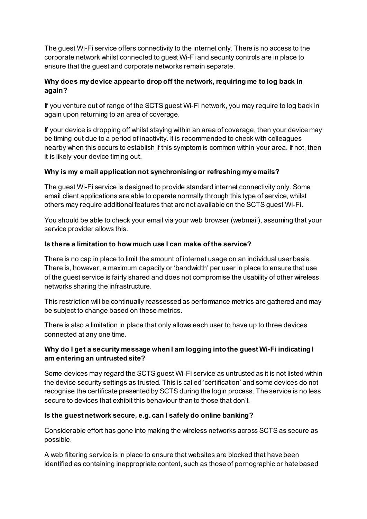The guest Wi-Fi service offers connectivity to the internet only. There is no access to the corporate network whilst connected to guest Wi-Fi and security controls are in place to ensure that the guest and corporate networks remain separate.

# **Why does my device appear to drop off the network, requiring me to log back in again?**

If you venture out of range of the SCTS guest Wi-Fi network, you may require to log back in again upon returning to an area of coverage.

If your device is dropping off whilst staying within an area of coverage, then your device may be timing out due to a period of inactivity. It is recommended to check with colleagues nearby when this occurs to establish if this symptom is common within your area. If not, then it is likely your device timing out.

## **Why is my email application not synchronising or refreshing my emails?**

The guest Wi-Fi service is designed to provide standard internet connectivity only. Some email client applications are able to operate normally through this type of service, whilst others may require additional features that are not available on the SCTS guest Wi-Fi.

You should be able to check your email via your web browser (webmail), assuming that your service provider allows this.

## **Is there a limitation to how much use I can make of the service?**

There is no cap in place to limit the amount of internet usage on an individual user basis. There is, however, a maximum capacity or 'bandwidth' per user in place to ensure that use of the guest service is fairly shared and does not compromise the usability of other wireless networks sharing the infrastructure.

This restriction will be continually reassessed as performance metrics are gathered and may be subject to change based on these metrics.

There is also a limitation in place that only allows each user to have up to three devices connected at any one time.

## **Why do I get a security message when I am logging into the guest Wi-Fi indicating I am entering an untrusted site?**

Some devices may regard the SCTS guest Wi-Fi service as untrusted as it is not listed within the device security settings as trusted. This is called 'certification' and some devices do not recognise the certificate presented by SCTS during the login process. The service is no less secure to devices that exhibit this behaviour than to those that don't.

## **Is the guest network secure, e.g. can I safely do online banking?**

Considerable effort has gone into making the wireless networks across SCTS as secure as possible.

A web filtering service is in place to ensure that websites are blocked that have been identified as containing inappropriate content, such as those of pornographic or hate based